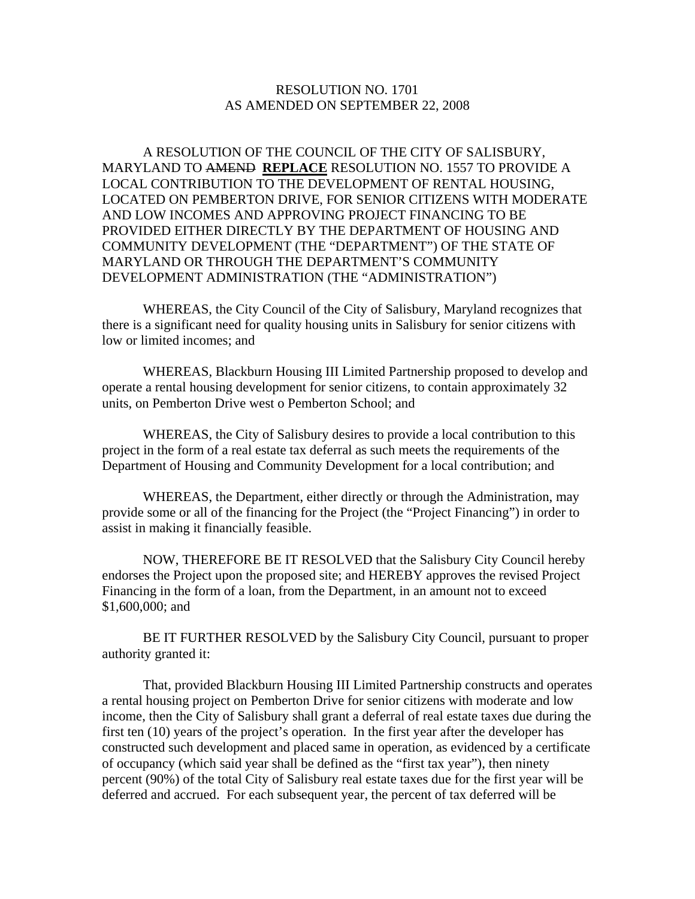## RESOLUTION NO. 1701 AS AMENDED ON SEPTEMBER 22, 2008

 A RESOLUTION OF THE COUNCIL OF THE CITY OF SALISBURY, MARYLAND TO AMEND **REPLACE** RESOLUTION NO. 1557 TO PROVIDE A LOCAL CONTRIBUTION TO THE DEVELOPMENT OF RENTAL HOUSING, LOCATED ON PEMBERTON DRIVE, FOR SENIOR CITIZENS WITH MODERATE AND LOW INCOMES AND APPROVING PROJECT FINANCING TO BE PROVIDED EITHER DIRECTLY BY THE DEPARTMENT OF HOUSING AND COMMUNITY DEVELOPMENT (THE "DEPARTMENT") OF THE STATE OF MARYLAND OR THROUGH THE DEPARTMENT'S COMMUNITY DEVELOPMENT ADMINISTRATION (THE "ADMINISTRATION")

 WHEREAS, the City Council of the City of Salisbury, Maryland recognizes that there is a significant need for quality housing units in Salisbury for senior citizens with low or limited incomes; and

 WHEREAS, Blackburn Housing III Limited Partnership proposed to develop and operate a rental housing development for senior citizens, to contain approximately 32 units, on Pemberton Drive west o Pemberton School; and

 WHEREAS, the City of Salisbury desires to provide a local contribution to this project in the form of a real estate tax deferral as such meets the requirements of the Department of Housing and Community Development for a local contribution; and

 WHEREAS, the Department, either directly or through the Administration, may provide some or all of the financing for the Project (the "Project Financing") in order to assist in making it financially feasible.

 NOW, THEREFORE BE IT RESOLVED that the Salisbury City Council hereby endorses the Project upon the proposed site; and HEREBY approves the revised Project Financing in the form of a loan, from the Department, in an amount not to exceed \$1,600,000; and

 BE IT FURTHER RESOLVED by the Salisbury City Council, pursuant to proper authority granted it:

 That, provided Blackburn Housing III Limited Partnership constructs and operates a rental housing project on Pemberton Drive for senior citizens with moderate and low income, then the City of Salisbury shall grant a deferral of real estate taxes due during the first ten (10) years of the project's operation. In the first year after the developer has constructed such development and placed same in operation, as evidenced by a certificate of occupancy (which said year shall be defined as the "first tax year"), then ninety percent (90%) of the total City of Salisbury real estate taxes due for the first year will be deferred and accrued. For each subsequent year, the percent of tax deferred will be